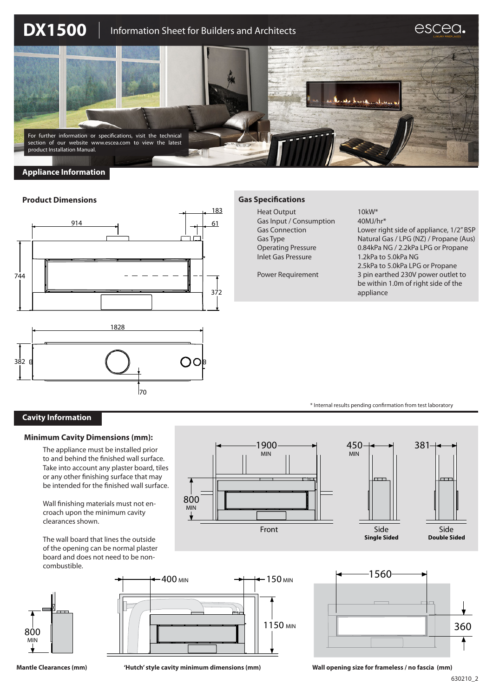

# **Appliance Information**

### **Product Dimensions**





## **Gas Specifications**

Heat Output 10kW\* Gas Input / Consumption 40MJ/hr<sup>\*</sup> Inlet Gas Pressure 1.2kPa to 5.0kPa NG

Gas Connection Lower right side of appliance, 1/2" BSP Gas Type Natural Gas / LPG (NZ) / Propane (Aus) Operating Pressure 0.84kPa NG / 2.2kPa LPG or Propane 2.5kPa to 5.0kPa LPG or Propane Power Requirement 3 pin earthed 230V power outlet to be within 1.0m of right side of the appliance

\* Internal results pending confirmation from test laboratory

# **Cavity Information**

#### **Minimum Cavity Dimensions (mm):**

The appliance must be installed prior to and behind the finished wall surface. Take into account any plaster board, tiles or any other finishing surface that may be intended for the finished wall surface.

Wall finishing materials must not encroach upon the minimum cavity clearances shown.

The wall board that lines the outside of the opening can be normal plaster board and does not need to be noncombustible.



1900 450 MIN MIN  $\Gamma$ 800 MIN Front Side **Single Sided**







**Mantle Clearances (mm) 'Hutch' style cavity minimum dimensions (mm) Wall opening size for frameless / no fascia (mm)** Front Side